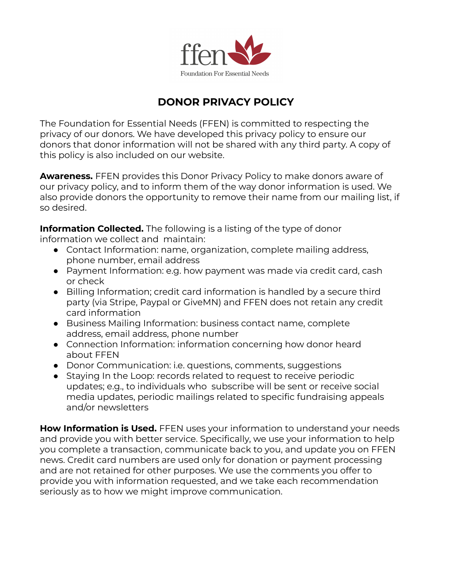

## **DONOR PRIVACY POLICY**

The Foundation for Essential Needs (FFEN) is committed to respecting the privacy of our donors. We have developed this privacy policy to ensure our donors that donor information will not be shared with any third party. A copy of this policy is also included on our website.

**Awareness.** FFEN provides this Donor Privacy Policy to make donors aware of our privacy policy, and to inform them of the way donor information is used. We also provide donors the opportunity to remove their name from our mailing list, if so desired.

**Information Collected.** The following is a listing of the type of donor information we collect and maintain:

- Contact Information: name, organization, complete mailing address, phone number, email address
- Payment Information: e.g. how payment was made via credit card, cash or check
- Billing Information; credit card information is handled by a secure third party (via Stripe, Paypal or GiveMN) and FFEN does not retain any credit card information
- Business Mailing Information: business contact name, complete address, email address, phone number
- Connection Information: information concerning how donor heard about FFEN
- Donor Communication: i.e. questions, comments, suggestions
- Staying In the Loop: records related to request to receive periodic updates; e.g., to individuals who subscribe will be sent or receive social media updates, periodic mailings related to specific fundraising appeals and/or newsletters

**How Information is Used.** FFEN uses your information to understand your needs and provide you with better service. Specifically, we use your information to help you complete a transaction, communicate back to you, and update you on FFEN news. Credit card numbers are used only for donation or payment processing and are not retained for other purposes. We use the comments you offer to provide you with information requested, and we take each recommendation seriously as to how we might improve communication.